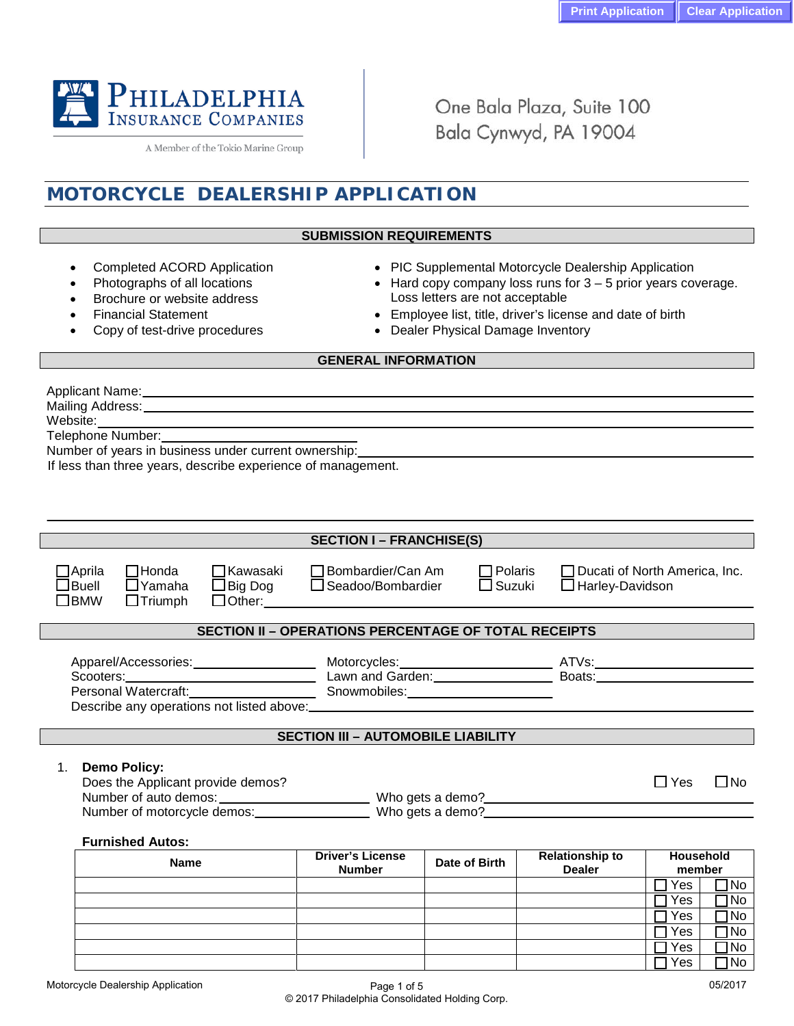

A Member of the Tokio Marine Group

One Bala Plaza, Suite 100 Bala Cynwyd, PA 19004

# **MOTORCYCLE DEALERSHIP APPLICATION**

#### **SUBMISSION REQUIREMENTS**

- 
- 
- Completed ACORD Application PIC Supplemental Motorcycle Dealership Application
	- Photographs of all locations Hard copy company loss runs for 3 5 prior years coverage.<br>Brochure or website address best boss letters are not acceptable **Brochure or website address** Loss letters are not acceptable<br>Financial Statement **Conservation Conservation Conservation Conservation Conservation Conservation Conservation** 
		- Employee list, title, driver's license and date of birth
	- Copy of test-drive procedures Dealer Physical Damage Inventory

#### **GENERAL INFORMATION**

Applicant Name:

Mailing Address:

Website:

Telephone Number:

Number of years in business under current ownership:

If less than three years, describe experience of management.

|                                                                                                                     |                                                    |                                   | <b>SECTION I – FRANCHISE(S)</b>                                                               |                                                                                                                                       |  |            |                                                                |  |  |
|---------------------------------------------------------------------------------------------------------------------|----------------------------------------------------|-----------------------------------|-----------------------------------------------------------------------------------------------|---------------------------------------------------------------------------------------------------------------------------------------|--|------------|----------------------------------------------------------------|--|--|
| $\Box$ Aprila<br>$\Box$ Buell<br>$\Box$ BMW                                                                         | $\square$ Honda<br>$\Box$ Yamaha<br>$\Box$ Triumph | $\Box$ Kawasaki                   |                                                                                               | □ Bombardier/Can Am<br>$\Box$ Polaris<br>$\Box$ Big Dog $\Box$ Seadoo/Bombardier<br>$\square$ Suzuki<br>$\Box$ Other: $\qquad \qquad$ |  |            | $\Box$ Ducati of North America, Inc.<br>$\Box$ Harley-Davidson |  |  |
|                                                                                                                     |                                                    |                                   | <b>SECTION II - OPERATIONS PERCENTAGE OF TOTAL RECEIPTS</b>                                   |                                                                                                                                       |  |            |                                                                |  |  |
|                                                                                                                     |                                                    |                                   | Describe any operations not listed above:<br><u>Describe any operations not listed above:</u> |                                                                                                                                       |  |            |                                                                |  |  |
| <b>SECTION III - AUTOMOBILE LIABILITY</b>                                                                           |                                                    |                                   |                                                                                               |                                                                                                                                       |  |            |                                                                |  |  |
| $1 \quad$                                                                                                           | <b>Demo Policy:</b>                                | Does the Applicant provide demos? |                                                                                               |                                                                                                                                       |  | $\Box$ Yes | $\Box$ No                                                      |  |  |
|                                                                                                                     | <b>Furnished Autos:</b>                            |                                   |                                                                                               |                                                                                                                                       |  |            |                                                                |  |  |
| <b>Driver's License</b><br><b>Relationship to</b><br>Date of Birth<br><b>Name</b><br><b>Dealer</b><br><b>Number</b> |                                                    |                                   |                                                                                               |                                                                                                                                       |  |            |                                                                |  |  |
|                                                                                                                     |                                                    |                                   |                                                                                               |                                                                                                                                       |  | Yes        | ]No                                                            |  |  |
|                                                                                                                     |                                                    |                                   |                                                                                               |                                                                                                                                       |  | Yes        | 1No                                                            |  |  |
|                                                                                                                     |                                                    |                                   |                                                                                               |                                                                                                                                       |  | Yes<br>Yes | No<br>1No                                                      |  |  |
|                                                                                                                     |                                                    |                                   |                                                                                               |                                                                                                                                       |  | Yes        | 1No                                                            |  |  |
|                                                                                                                     |                                                    |                                   |                                                                                               |                                                                                                                                       |  | Yes        | 1No                                                            |  |  |
|                                                                                                                     |                                                    |                                   |                                                                                               |                                                                                                                                       |  |            |                                                                |  |  |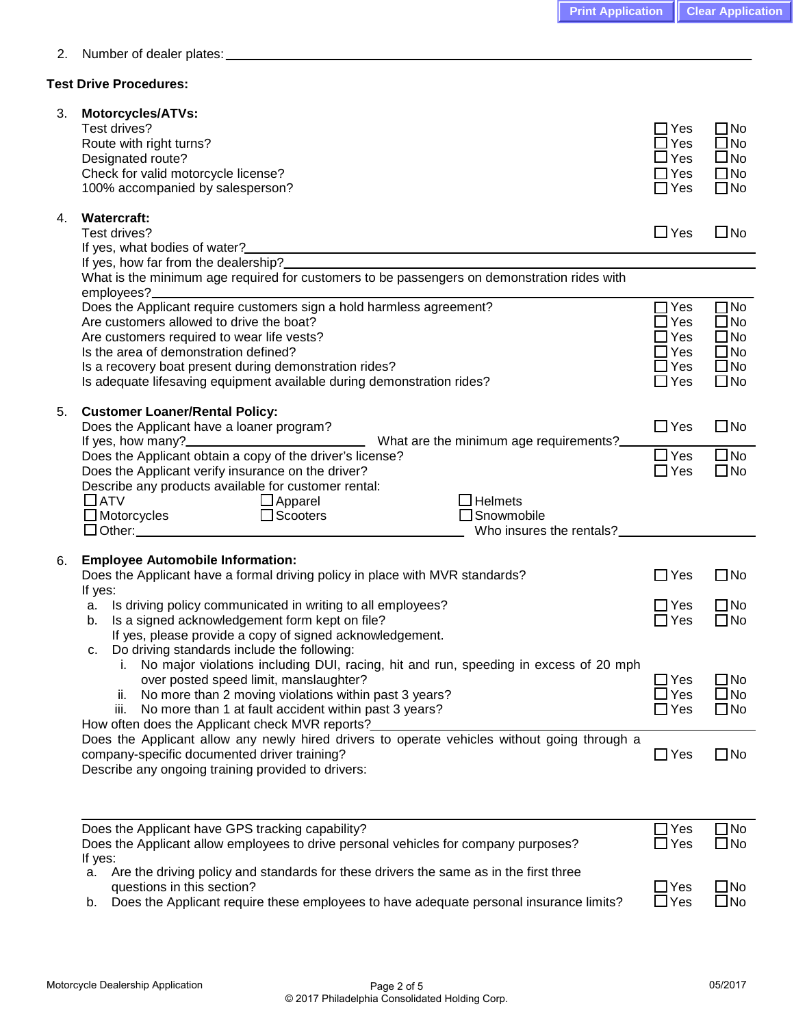2. Number of dealer plates:

### **Test Drive Procedures:**

| 3. | <b>Motorcycles/ATVs:</b><br>Test drives?<br>Route with right turns?<br>Designated route?<br>Check for valid motorcycle license?<br>100% accompanied by salesperson?                                                                                                                                                                                                       | ∃Yes<br>$\exists$ Yes<br>$\sqcup$ Yes<br>$\Box$ Yes<br>$\Box$ Yes                  | $\square$ No<br>$\square$ No<br>$\square$ No<br>$\square$ No<br>$\square$ No                 |
|----|---------------------------------------------------------------------------------------------------------------------------------------------------------------------------------------------------------------------------------------------------------------------------------------------------------------------------------------------------------------------------|------------------------------------------------------------------------------------|----------------------------------------------------------------------------------------------|
| 4. | <b>Watercraft:</b><br>Test drives?<br>If yes, what bodies of water?_<br><u> 1980 - Johann John Stein, fransk politik (f. 1980)</u>                                                                                                                                                                                                                                        | $\Box$ Yes                                                                         | $\square$ No                                                                                 |
|    |                                                                                                                                                                                                                                                                                                                                                                           |                                                                                    |                                                                                              |
|    | What is the minimum age required for customers to be passengers on demonstration rides with<br>employees?_                                                                                                                                                                                                                                                                |                                                                                    |                                                                                              |
|    | Does the Applicant require customers sign a hold harmless agreement?<br>Are customers allowed to drive the boat?<br>Are customers required to wear life vests?<br>Is the area of demonstration defined?<br>Is a recovery boat present during demonstration rides?<br>Is adequate lifesaving equipment available during demonstration rides?                               | $\sqsupset$ Yes<br>$\exists$ Yes<br>∃Yes<br>$\Box$ Yes<br>$\Box$ Yes<br>$\Box$ Yes | $\square$ No<br>$\square$ No<br>$\square$ No<br>$\square$ No<br>$\square$ No<br>$\square$ No |
| 5. | <b>Customer Loaner/Rental Policy:</b><br>Does the Applicant have a loaner program?<br>What are the minimum age requirements?<br>If yes, how many?_                                                                                                                                                                                                                        | $\Box$ Yes                                                                         | $\square$ No                                                                                 |
|    | Does the Applicant obtain a copy of the driver's license?<br>Does the Applicant verify insurance on the driver?                                                                                                                                                                                                                                                           | $\Box$ Yes<br>$\Box$ Yes                                                           | $\Box$ No<br>$\square$ No                                                                    |
|    | Describe any products available for customer rental:<br>$\Box$ ATV<br>$\Box$ Apparel<br>$\Box$ Helmets<br>$\square$ Scooters<br>$\square$ Motorcycles<br>$\Box$ Snowmobile<br>Who insures the rentals?                                                                                                                                                                    |                                                                                    |                                                                                              |
| 6. | <b>Employee Automobile Information:</b>                                                                                                                                                                                                                                                                                                                                   |                                                                                    |                                                                                              |
|    | Does the Applicant have a formal driving policy in place with MVR standards?<br>If yes:                                                                                                                                                                                                                                                                                   | $\Box$ Yes                                                                         | $\square$ No                                                                                 |
|    | Is driving policy communicated in writing to all employees?<br>a.<br>Is a signed acknowledgement form kept on file?<br>b.<br>If yes, please provide a copy of signed acknowledgement.                                                                                                                                                                                     | $\square$ Yes<br>$\Box$ Yes                                                        | $\square$ No<br>$\square$ No                                                                 |
|    | Do driving standards include the following:<br>c.<br>i. No major violations including DUI, racing, hit and run, speeding in excess of 20 mph<br>over posted speed limit, manslaughter?<br>No more than 2 moving violations within past 3 years?<br>Ш.<br>No more than 1 at fault accident within past 3 years?<br>iii.<br>How often does the Applicant check MVR reports? | $\Box$ Yes<br>$\exists$ Yes<br>$\Box$ Yes                                          | $\square$ No<br>$\square$ No<br>$\square$ No                                                 |
|    | Does the Applicant allow any newly hired drivers to operate vehicles without going through a<br>company-specific documented driver training?<br>Describe any ongoing training provided to drivers:                                                                                                                                                                        | $\Box$ Yes                                                                         | $\square$ No                                                                                 |
|    | Does the Applicant have GPS tracking capability?                                                                                                                                                                                                                                                                                                                          | $\Box$ Yes                                                                         | $\square$ No                                                                                 |
|    | Does the Applicant allow employees to drive personal vehicles for company purposes?<br>If yes:<br>Are the driving policy and standards for these drivers the same as in the first three<br>а.<br>questions in this section?<br>Analignation that the complete the boys edecuate personal incurrence limite?                                                               | $\Box$ Yes<br>$\Box$ Yes                                                           | $\square$ No<br>$\square$ No<br>冖ハェ、                                                         |

b. Does the Applicant require these employees to have adequate personal insurance limits?  $\Box$  Yes  $\Box$  No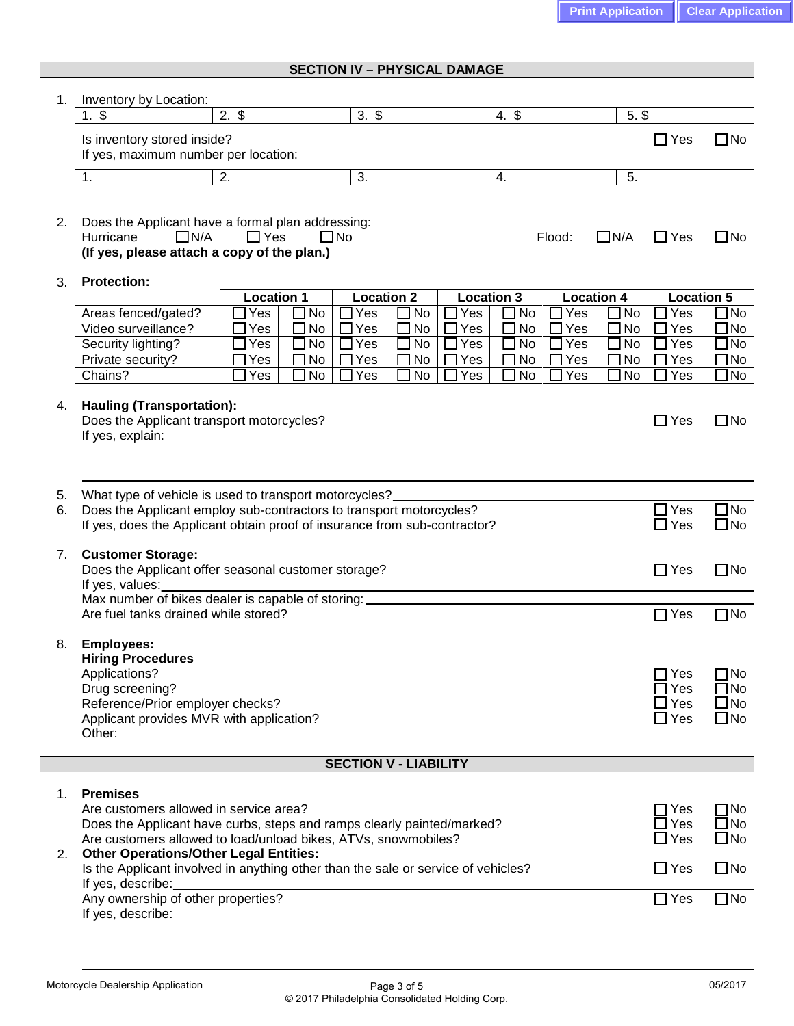| <b>SECTION IV - PHYSICAL DAMAGE</b> |
|-------------------------------------|
|-------------------------------------|

| 1. | Inventory by Location:                                                                                                      |                          |                                      |                                |                                |                          |                        |
|----|-----------------------------------------------------------------------------------------------------------------------------|--------------------------|--------------------------------------|--------------------------------|--------------------------------|--------------------------|------------------------|
|    | $1. \$$                                                                                                                     | $2.$ \$                  | $3. \,$ \$                           | $4.$ \$                        | $5.$ $$$                       |                          |                        |
|    | Is inventory stored inside?<br>If yes, maximum number per location:                                                         |                          |                                      |                                |                                | $\Box$ Yes               | $\square$ No           |
|    |                                                                                                                             |                          |                                      |                                |                                |                          |                        |
|    | 1.                                                                                                                          | 2.                       | 3.                                   | 4.                             | 5.                             |                          |                        |
| 2. | Does the Applicant have a formal plan addressing:<br>$\Box$ N/A<br>Hurricane<br>(If yes, please attach a copy of the plan.) | $\Box$ Yes               | $\square$ No                         | Flood:                         | $\Box$ N/A                     | $\Box$ Yes               | $\square$ No           |
| 3. | <b>Protection:</b>                                                                                                          |                          |                                      |                                |                                |                          |                        |
|    | Areas fenced/gated?                                                                                                         | <b>Location 1</b><br>Yes | <b>Location 2</b><br>No<br>No<br>Yes | <b>Location 3</b><br>No<br>Yes | <b>Location 4</b><br>No<br>Yes | <b>Location 5</b><br>Yes | ]No                    |
|    | Video surveillance?                                                                                                         | Yes                      | $\square$ No<br>Yes<br>No            | No<br>Yes                      | Yes<br>No                      | Yes                      | JNo                    |
|    | Security lighting?                                                                                                          | Yes                      | $\square$ No<br>No<br>Yes            | No<br>Yes                      | No<br>Yes                      | Yes                      | JNo                    |
|    | Private security?                                                                                                           | Yes                      | $\Box$ No<br>Yes<br>No               | No<br>Yes                      | Yes<br>No                      | Yes                      | JNo                    |
|    | Chains?                                                                                                                     | Yes                      | $\Box$ No<br>No<br>Yes               | Yes<br>No                      | No<br>Yes                      | Yes                      | $\Box$ No              |
| 4. | <b>Hauling (Transportation):</b><br>Does the Applicant transport motorcycles?<br>If yes, explain:                           |                          |                                      |                                |                                | $\Box$ Yes               | $\square$ No           |
| 5. | What type of vehicle is used to transport motorcycles?                                                                      |                          |                                      |                                |                                |                          |                        |
| 6. | Does the Applicant employ sub-contractors to transport motorcycles?                                                         |                          |                                      |                                |                                | $\Box$ Yes               | $\Box$ No              |
|    | If yes, does the Applicant obtain proof of insurance from sub-contractor?                                                   |                          |                                      |                                |                                | $\square$ Yes            | $\square$ No           |
| 7. | <b>Customer Storage:</b>                                                                                                    |                          |                                      |                                |                                |                          |                        |
|    | Does the Applicant offer seasonal customer storage?                                                                         |                          |                                      |                                |                                | $\Box$ Yes               | $\Box$ No              |
|    | If yes, values:<br>Max number of bikes dealer is capable of storing:                                                        |                          |                                      |                                |                                |                          |                        |
|    | Are fuel tanks drained while stored?                                                                                        |                          |                                      |                                |                                | $\Box$ Yes               | $\square$ No           |
|    |                                                                                                                             |                          |                                      |                                |                                |                          |                        |
| 8. | <b>Employees:</b>                                                                                                           |                          |                                      |                                |                                |                          |                        |
|    | <b>Hiring Procedures</b>                                                                                                    |                          |                                      |                                |                                |                          |                        |
|    | Applications?                                                                                                               |                          |                                      |                                |                                | Yes<br>Yes               | $\Box$ No<br>$\Box$ No |
|    | Drug screening?<br>Reference/Prior employer checks?                                                                         |                          |                                      |                                |                                | $\exists$ Yes            | $\square$ No           |
|    | Applicant provides MVR with application?                                                                                    |                          |                                      |                                |                                | $\Box$ Yes               | $\square$ No           |
|    |                                                                                                                             |                          |                                      |                                |                                |                          |                        |
|    |                                                                                                                             |                          | <b>SECTION V - LIABILITY</b>         |                                |                                |                          |                        |
| 1. | <b>Premises</b>                                                                                                             |                          |                                      |                                |                                |                          |                        |
|    | Are customers allowed in service area?                                                                                      |                          |                                      |                                |                                | $\Box$ Yes               | $\square$ No           |
|    | Does the Applicant have curbs, steps and ramps clearly painted/marked?                                                      |                          |                                      |                                |                                | $\square$ Yes            | $\square$ No           |
|    | Are customers allowed to load/unload bikes, ATVs, snowmobiles?                                                              |                          |                                      |                                |                                | $\square$ Yes            | $\square$ No           |
| 2. | <b>Other Operations/Other Legal Entities:</b>                                                                               |                          |                                      |                                |                                |                          |                        |
|    | Is the Applicant involved in anything other than the sale or service of vehicles?<br>If yes, describe:                      |                          |                                      |                                |                                | $\Box$ Yes               | $\square$ No           |
|    | Any ownership of other properties?                                                                                          |                          |                                      |                                |                                | $\Box$ Yes               | $\square$ No           |
|    |                                                                                                                             |                          |                                      |                                |                                |                          |                        |

If yes, describe: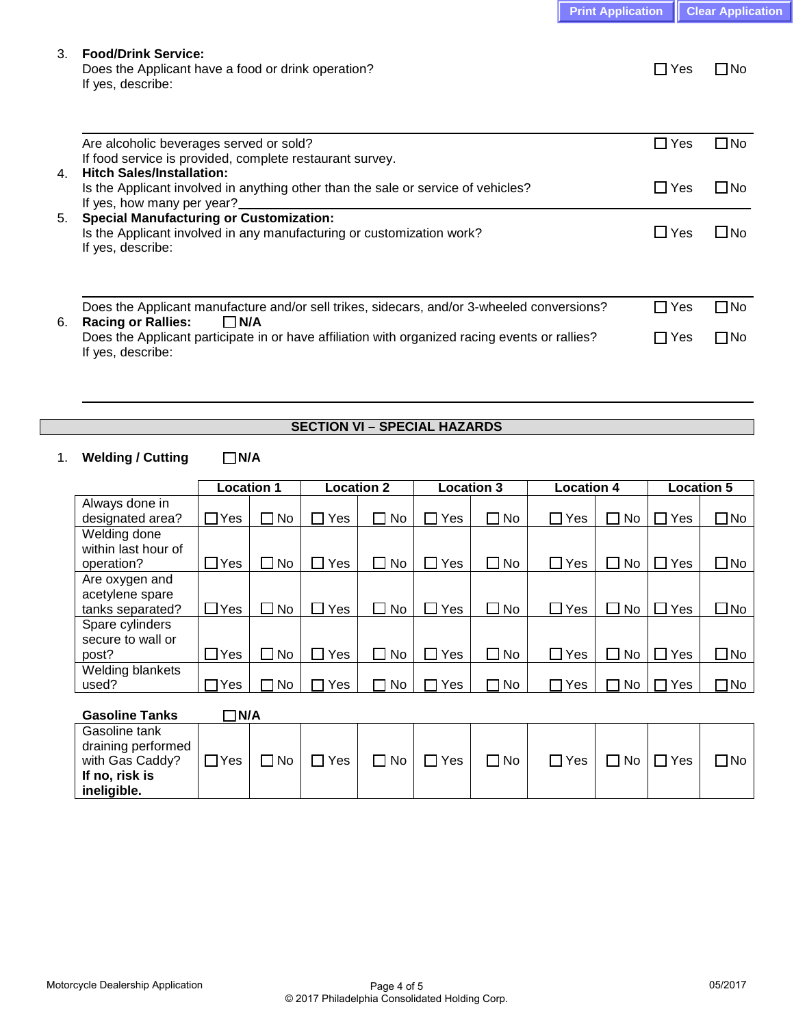| <b>Print Application   Clear Application</b> |  |
|----------------------------------------------|--|
|----------------------------------------------|--|

### 3. **Food/Drink Service:**

Does the Applicant have a food or drink operation?  $\Box$  Yes  $\Box$  No If yes, describe:

|    | Are alcoholic beverages served or sold?                                                        | $\Box$ Yes | ΠNo   |
|----|------------------------------------------------------------------------------------------------|------------|-------|
|    | If food service is provided, complete restaurant survey.                                       |            |       |
| 4. | <b>Hitch Sales/Installation:</b>                                                               |            |       |
|    | Is the Applicant involved in anything other than the sale or service of vehicles?              | ∩Yes       | l INo |
|    | If yes, how many per year?                                                                     |            |       |
| 5. | <b>Special Manufacturing or Customization:</b>                                                 |            |       |
|    | Is the Applicant involved in any manufacturing or customization work?                          | $\Box$ Yes | ⊟No   |
|    | If yes, describe:                                                                              |            |       |
|    |                                                                                                |            |       |
|    |                                                                                                |            |       |
|    |                                                                                                |            |       |
|    | Does the Applicant manufacture and/or sell trikes, sidecars, and/or 3-wheeled conversions?     | ∏Yes       | ΠNo   |
| 6. | <b>Racing or Rallies:</b><br>$\Box$ N/A                                                        |            |       |
|    | Does the Applicant participate in or have affiliation with organized racing events or rallies? | ∩ Yes      | ΠNo   |
|    | If yes, describe:                                                                              |            |       |

## **SECTION VI – SPECIAL HAZARDS**

## 1. Welding / Cutting  $\Box$  N/A

|                     | <b>Location 1</b> |             | <b>Location 2</b> |                     | <b>Location 3</b> |           | <b>Location 4</b> |      |     | <b>Location 5</b> |
|---------------------|-------------------|-------------|-------------------|---------------------|-------------------|-----------|-------------------|------|-----|-------------------|
| Always done in      |                   |             |                   |                     |                   |           |                   |      |     |                   |
| designated area?    | $\Box$ Yes        | ∩No         | Yes               | No.<br>П            | Yes               | No.       | Yes               | No.  | Yes | ∃No               |
| Welding done        |                   |             |                   |                     |                   |           |                   |      |     |                   |
| within last hour of |                   |             |                   |                     |                   |           |                   |      |     |                   |
| operation?          | $\Box$ Yes        | $\sqcup$ No | Yes               | $\Box$ No           | $\sqcup$ Yes      | <b>No</b> | Yes               | ⊿ No | Yes | JNo               |
| Are oxygen and      |                   |             |                   |                     |                   |           |                   |      |     |                   |
| acetylene spare     |                   |             |                   |                     |                   |           |                   |      |     |                   |
| tanks separated?    | $\Box$ Yes        | $\Box$ No   | Yes               | No.<br>$\mathsf{L}$ | $\square$ Yes     | No        | Yes<br>. .        | ⊟ No | Yes | $\square$ No      |
| Spare cylinders     |                   |             |                   |                     |                   |           |                   |      |     |                   |
| secure to wall or   |                   |             |                   |                     |                   |           |                   |      |     |                   |
| post?               | $\Box$ Yes        | ∩No         | Yes               | No<br>ΙI            | Yes               | No.       | Yes               | No.  | Yes | $\exists$ No      |
| Welding blankets    |                   |             |                   |                     |                   |           |                   |      |     |                   |
| used?               | ∩Yes              | ∩ No        | Yes               | No.                 | Yes               | No.       | 'es               | No.  | Yes | 1No               |

| <b>Gasoline Tanks</b>                                                                   | N/A⊺       |            |            |           |            |      |            |                      |           |
|-----------------------------------------------------------------------------------------|------------|------------|------------|-----------|------------|------|------------|----------------------|-----------|
| Gasoline tank<br>draining performed<br>with Gas Caddy?<br>If no, risk is<br>ineligible. | $\neg$ Yes | $\n  1$ No | $\Box$ Yes | $\Box$ No | $\neg$ Yes | ⊓ No | $\Box$ Yes | $\Box$ No $\Box$ Yes | $\Box$ No |